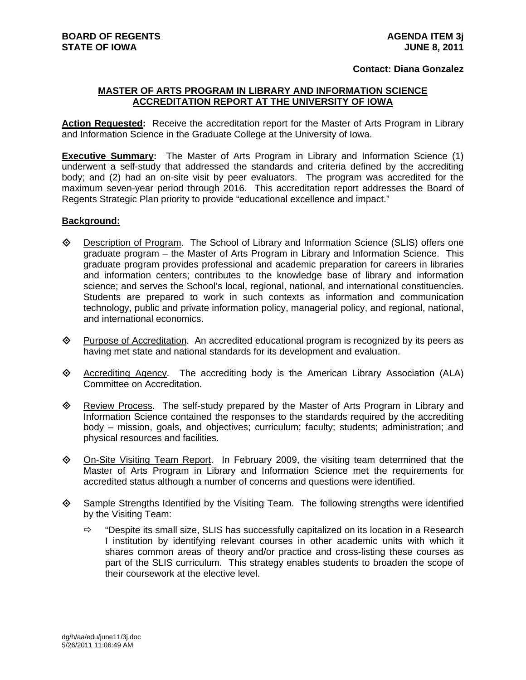## **Contact: Diana Gonzalez**

## **MASTER OF ARTS PROGRAM IN LIBRARY AND INFORMATION SCIENCE ACCREDITATION REPORT AT THE UNIVERSITY OF IOWA**

**Action Requested:** Receive the accreditation report for the Master of Arts Program in Library and Information Science in the Graduate College at the University of Iowa.

**Executive Summary:** The Master of Arts Program in Library and Information Science (1) underwent a self-study that addressed the standards and criteria defined by the accrediting body; and (2) had an on-site visit by peer evaluators. The program was accredited for the maximum seven-year period through 2016. This accreditation report addresses the Board of Regents Strategic Plan priority to provide "educational excellence and impact."

## **Background:**

- Description of Program. The School of Library and Information Science (SLIS) offers one graduate program – the Master of Arts Program in Library and Information Science. This graduate program provides professional and academic preparation for careers in libraries and information centers; contributes to the knowledge base of library and information science; and serves the School's local, regional, national, and international constituencies. Students are prepared to work in such contexts as information and communication technology, public and private information policy, managerial policy, and regional, national, and international economics.
- $\Diamond$  Purpose of Accreditation. An accredited educational program is recognized by its peers as having met state and national standards for its development and evaluation.
- $\Diamond$  Accrediting Agency. The accrediting body is the American Library Association (ALA) Committee on Accreditation.
- $\diamond$  Review Process. The self-study prepared by the Master of Arts Program in Library and Information Science contained the responses to the standards required by the accrediting body – mission, goals, and objectives; curriculum; faculty; students; administration; and physical resources and facilities.
- $\Diamond$  On-Site Visiting Team Report. In February 2009, the visiting team determined that the Master of Arts Program in Library and Information Science met the requirements for accredited status although a number of concerns and questions were identified.
- Sample Strengths Identified by the Visiting Team. The following strengths were identified by the Visiting Team:
	- $\Rightarrow$  "Despite its small size, SLIS has successfully capitalized on its location in a Research I institution by identifying relevant courses in other academic units with which it shares common areas of theory and/or practice and cross-listing these courses as part of the SLIS curriculum. This strategy enables students to broaden the scope of their coursework at the elective level.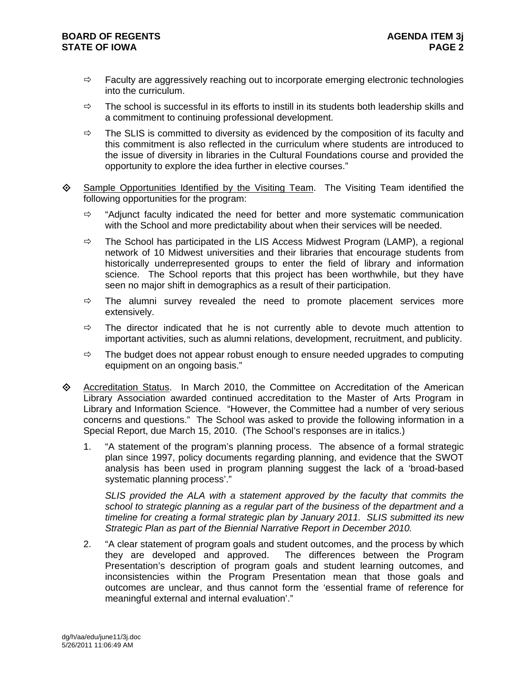- $\Rightarrow$  Faculty are aggressively reaching out to incorporate emerging electronic technologies into the curriculum.
- $\Rightarrow$  The school is successful in its efforts to instill in its students both leadership skills and a commitment to continuing professional development.
- $\Rightarrow$  The SLIS is committed to diversity as evidenced by the composition of its faculty and this commitment is also reflected in the curriculum where students are introduced to the issue of diversity in libraries in the Cultural Foundations course and provided the opportunity to explore the idea further in elective courses."
- $\Diamond$  Sample Opportunities Identified by the Visiting Team. The Visiting Team identified the following opportunities for the program:
	- $\Rightarrow$  "Adjunct faculty indicated the need for better and more systematic communication with the School and more predictability about when their services will be needed.
	- $\Rightarrow$  The School has participated in the LIS Access Midwest Program (LAMP), a regional network of 10 Midwest universities and their libraries that encourage students from historically underrepresented groups to enter the field of library and information science. The School reports that this project has been worthwhile, but they have seen no major shift in demographics as a result of their participation.
	- $\Rightarrow$  The alumni survey revealed the need to promote placement services more extensively.
	- $\Rightarrow$  The director indicated that he is not currently able to devote much attention to important activities, such as alumni relations, development, recruitment, and publicity.
	- $\Rightarrow$  The budget does not appear robust enough to ensure needed upgrades to computing equipment on an ongoing basis."
- Accreditation Status. In March 2010, the Committee on Accreditation of the American Library Association awarded continued accreditation to the Master of Arts Program in Library and Information Science. "However, the Committee had a number of very serious concerns and questions." The School was asked to provide the following information in a Special Report, due March 15, 2010. (The School's responses are in italics.)
	- 1. "A statement of the program's planning process. The absence of a formal strategic plan since 1997, policy documents regarding planning, and evidence that the SWOT analysis has been used in program planning suggest the lack of a 'broad-based systematic planning process'."

*SLIS provided the ALA with a statement approved by the faculty that commits the school to strategic planning as a regular part of the business of the department and a timeline for creating a formal strategic plan by January 2011. SLIS submitted its new Strategic Plan as part of the Biennial Narrative Report in December 2010.* 

2. "A clear statement of program goals and student outcomes, and the process by which they are developed and approved. The differences between the Program Presentation's description of program goals and student learning outcomes, and inconsistencies within the Program Presentation mean that those goals and outcomes are unclear, and thus cannot form the 'essential frame of reference for meaningful external and internal evaluation'."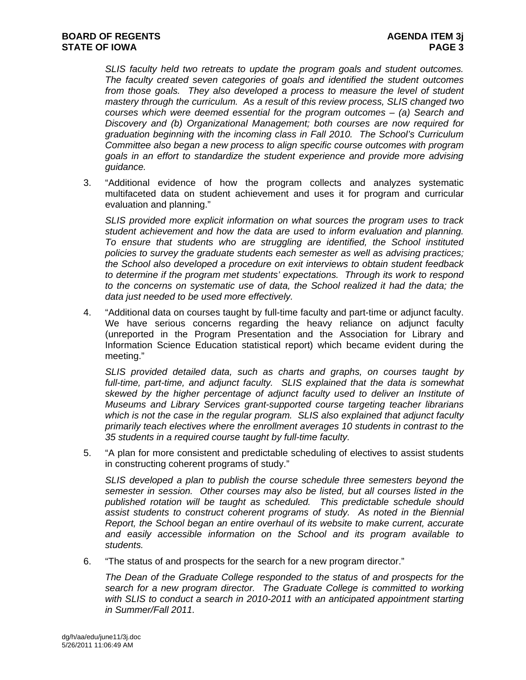*SLIS faculty held two retreats to update the program goals and student outcomes. The faculty created seven categories of goals and identified the student outcomes from those goals. They also developed a process to measure the level of student mastery through the curriculum. As a result of this review process, SLIS changed two courses which were deemed essential for the program outcomes – (a) Search and Discovery and (b) Organizational Management; both courses are now required for graduation beginning with the incoming class in Fall 2010. The School's Curriculum Committee also began a new process to align specific course outcomes with program goals in an effort to standardize the student experience and provide more advising guidance.* 

3. "Additional evidence of how the program collects and analyzes systematic multifaceted data on student achievement and uses it for program and curricular evaluation and planning."

*SLIS provided more explicit information on what sources the program uses to track student achievement and how the data are used to inform evaluation and planning. To ensure that students who are struggling are identified, the School instituted policies to survey the graduate students each semester as well as advising practices; the School also developed a procedure on exit interviews to obtain student feedback to determine if the program met students' expectations. Through its work to respond to the concerns on systematic use of data, the School realized it had the data; the data just needed to be used more effectively.* 

4. "Additional data on courses taught by full-time faculty and part-time or adjunct faculty. We have serious concerns regarding the heavy reliance on adjunct faculty (unreported in the Program Presentation and the Association for Library and Information Science Education statistical report) which became evident during the meeting."

*SLIS provided detailed data, such as charts and graphs, on courses taught by*  full-time, part-time, and adjunct faculty. SLIS explained that the data is somewhat *skewed by the higher percentage of adjunct faculty used to deliver an Institute of Museums and Library Services grant-supported course targeting teacher librarians which is not the case in the regular program. SLIS also explained that adjunct faculty primarily teach electives where the enrollment averages 10 students in contrast to the 35 students in a required course taught by full-time faculty.* 

5. "A plan for more consistent and predictable scheduling of electives to assist students in constructing coherent programs of study."

*SLIS developed a plan to publish the course schedule three semesters beyond the semester in session. Other courses may also be listed, but all courses listed in the published rotation will be taught as scheduled. This predictable schedule should assist students to construct coherent programs of study. As noted in the Biennial Report, the School began an entire overhaul of its website to make current, accurate and easily accessible information on the School and its program available to students.* 

6. "The status of and prospects for the search for a new program director."

*The Dean of the Graduate College responded to the status of and prospects for the search for a new program director. The Graduate College is committed to working with SLIS to conduct a search in 2010-2011 with an anticipated appointment starting in Summer/Fall 2011.*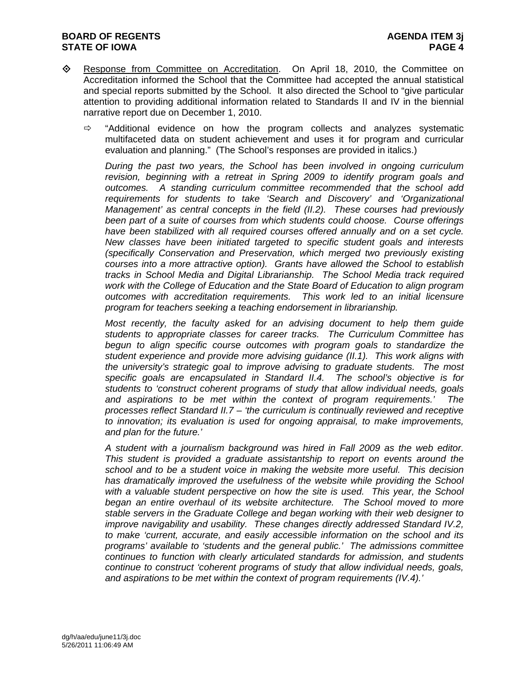- Response from Committee on Accreditation. On April 18, 2010, the Committee on Accreditation informed the School that the Committee had accepted the annual statistical and special reports submitted by the School. It also directed the School to "give particular attention to providing additional information related to Standards II and IV in the biennial narrative report due on December 1, 2010.
	- $\Rightarrow$  "Additional evidence on how the program collects and analyzes systematic multifaceted data on student achievement and uses it for program and curricular evaluation and planning." (The School's responses are provided in italics.)

*During the past two years, the School has been involved in ongoing curriculum revision, beginning with a retreat in Spring 2009 to identify program goals and outcomes. A standing curriculum committee recommended that the school add requirements for students to take 'Search and Discovery' and 'Organizational Management' as central concepts in the field (II.2). These courses had previously been part of a suite of courses from which students could choose. Course offerings*  have been stabilized with all required courses offered annually and on a set cycle. *New classes have been initiated targeted to specific student goals and interests (specifically Conservation and Preservation, which merged two previously existing courses into a more attractive option). Grants have allowed the School to establish tracks in School Media and Digital Librarianship. The School Media track required work with the College of Education and the State Board of Education to align program outcomes with accreditation requirements. This work led to an initial licensure program for teachers seeking a teaching endorsement in librarianship.* 

*Most recently, the faculty asked for an advising document to help them guide students to appropriate classes for career tracks. The Curriculum Committee has begun to align specific course outcomes with program goals to standardize the student experience and provide more advising guidance (II.1). This work aligns with the university's strategic goal to improve advising to graduate students. The most specific goals are encapsulated in Standard II.4. The school's objective is for students to 'construct coherent programs of study that allow individual needs, goals and aspirations to be met within the context of program requirements.' The processes reflect Standard II.7 – 'the curriculum is continually reviewed and receptive to innovation; its evaluation is used for ongoing appraisal, to make improvements, and plan for the future.'* 

*A student with a journalism background was hired in Fall 2009 as the web editor. This student is provided a graduate assistantship to report on events around the school and to be a student voice in making the website more useful. This decision*  has dramatically improved the usefulness of the website while providing the School *with a valuable student perspective on how the site is used. This year, the School began an entire overhaul of its website architecture. The School moved to more stable servers in the Graduate College and began working with their web designer to improve navigability and usability. These changes directly addressed Standard IV.2, to make 'current, accurate, and easily accessible information on the school and its programs' available to 'students and the general public.' The admissions committee continues to function with clearly articulated standards for admission, and students continue to construct 'coherent programs of study that allow individual needs, goals, and aspirations to be met within the context of program requirements (IV.4).'*